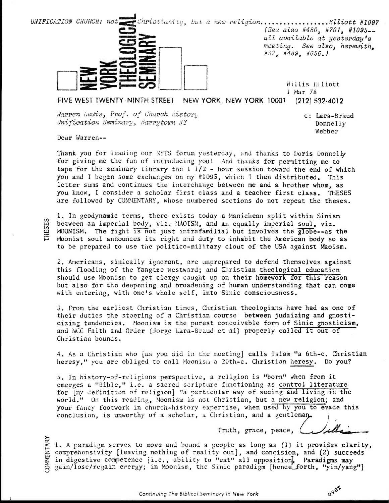

FIVE WEST TWENTY-NINTH STREET NEW YORK, NEW YORK 10001  $(212)$  532-4012

Wa**rren Lewis, Prof. of Church Histor**y Unification Seminary, Barrytown NY

c: Lara-Braud Donnelly Webber

OVER

Dear Warren--

Thank you for leading our NYTS forum yesterday, and thanks to Doris Donnelly for giving me the fun of introducing you! And thanks for permitting me to tape for the seminary library the  $1\ 1/2$  - hour session toward the end of which you and I began some exchanges on my  $#1095$ , which I then distributed. This letter sums and continues the interchange between me and a brother whom, as you know, I consider a scholar first class and a teacher first class. THESES are followed by COMMENTARY, whose numbered sections do not repeat the theses.

1. In geodynamic terms, there exists today a Manichean split within Sinism between an imperial body, viz. MAOISM, and an equally imperial soul, viz. MOONISM. The fight is not just intrafamilial but involves the globe--as the Moonist soul announces its right and duty to inhabit the American body so as to be prepared to use the politico-military clout of the USA against Maoism.

2. Americans, sinically ignorant, are unprepared to defend themselves against this flooding of the Yangtze westward; and Christian theological education should use Moonism to get clergy caught up on their homework for this reason but also for the deepening and broadening of human understanding that can come with entering, with one's whole self, into Sinic consciousness.

3. From the earliest Christian times, Christian theologians have had as one of their duties the steering of a Christian course between judaizing and gnosticizing tendencies. Moonism is the purest conceivable form of Sinic gnosticism, and NCC Faith and Order (Jorge Lara-Braud et al) properly called it out of Christian bounds.

4. As a Christian who [as you did in the meeting] calls Islam "a 6th-c. Christian heresy," you are obliged to call Moonism a 20th-c. Christian heresy. Do you?

5. In history-of-religions perspective, a religion is "born" when from it emerges a "Bible," i.e. a sacred scripture functioning as control literature for [my definition of religion] "a particular way of seeing and living in the world." On this reading, Moonism is not Christian, but a new religion; and your fancy footwork in church-history expertise, when used by you to evade this conclusion, is unworthy of a scholar, a Christian, and a gentleman.

Truth, grace, peace,

1. A paradigm serves to move and bound a people as long as (1) it provides clarity, comprehensivity [leaving nothing of reality out], and concision, and (2) succeeds in digestive competence [i.e., ability to "eat" all opposition. Paradigms may gain/lose/regain energy; in Moonism, the Sinic paradigm [hence forth, "yin/yang"]

**THESES**